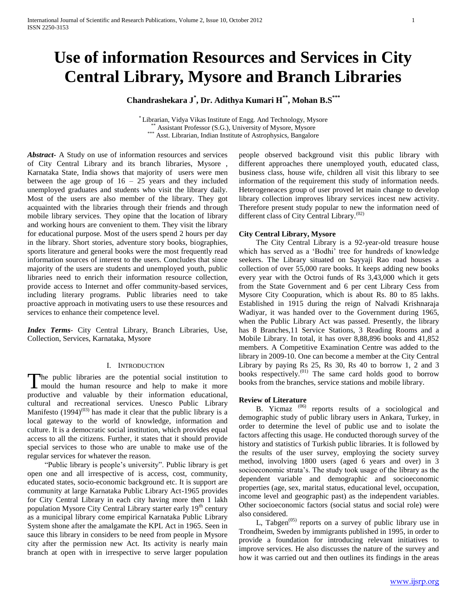# **Use of information Resources and Services in City Central Library, Mysore and Branch Libraries**

**Chandrashekara J\* , Dr. Adithya Kumari H\*\* , Mohan B.S\*\*\***

\* Librarian, Vidya Vikas Institute of Engg. And Technology, Mysore \*\* Assistant Professor (S.G.), University of Mysore, Mysore \*\*\* Asst. Librarian, Indian Institute of Astrophysics, Bangalore

*Abstract***-** A Study on use of information resources and services of City Central Library and its branch libraries, Mysore , Karnataka State, India shows that majority of users were men between the age group of  $16 - 25$  years and they included unemployed graduates and students who visit the library daily. Most of the users are also member of the library. They got acquainted with the libraries through their friends and through mobile library services. They opine that the location of library and working hours are convenient to them. They visit the library for educational purpose. Most of the users spend 2 hours per day in the library. Short stories, adventure story books, biographies, sports literature and general books were the most frequently read information sources of interest to the users. Concludes that since majority of the users are students and unemployed youth, public libraries need to enrich their information resource collection, provide access to Internet and offer community-based services, including literary programs. Public libraries need to take proactive approach in motivating users to use these resources and services to enhance their competence level.

*Index Terms*- City Central Library, Branch Libraries, Use, Collection, Services, Karnataka, Mysore

### I. INTRODUCTION

he public libraries are the potential social institution to The public libraries are the potential social institution to mould the human resource and help to make it more productive and valuable by their information educational, cultural and recreational services. Unesco Public Library Manifesto  $(1994)^{(03)}$  has made it clear that the public library is a local gateway to the world of knowledge, information and culture. It is a democratic social institution, which provides equal access to all the citizens. Further, it states that it should provide special services to those who are unable to make use of the regular services for whatever the reason.

 "Public library is people"s university". Public library is get open one and all irrespective of is access, cost, community, educated states, socio-economic background etc. It is support are community at large Karnataka Public Library Act-1965 provides for City Central Library in each city having more then 1 lakh population Mysore City Central Library starter early 19<sup>th</sup> century as a municipal library come empirical Karnataka Public Library System shone after the amalgamate the KPL Act in 1965. Seen in sauce this library in considers to be need from people in Mysore city after the permission new Act. Its activity is nearly main branch at open with in irrespective to serve larger population people observed background visit this public library with different approaches there unemployed youth, educated class, business class, house wife, children all visit this library to see information of the requirement this study of information needs. Heterogeneaces group of user proved let main change to develop library collection improves library services incest new activity. Therefore present study popular to new the information need of different class of City Central Library. $^{(02)}$ 

#### **City Central Library, Mysore**

 The City Central Library is a 92-year-old treasure house which has served as a "Bodhi" tree for hundreds of knowledge seekers. The Library situated on Sayyaji Rao road houses a collection of over 55,000 rare books. It keeps adding new books every year with the Octroi funds of Rs 3,43,000 which it gets from the State Government and 6 per cent Library Cess from Mysore City Coopuration, which is about Rs. 80 to 85 lakhs. Established in 1915 during the reign of Nalvadi Krishnaraja Wadiyar, it was handed over to the Government during 1965, when the Public Library Act was passed. Presently, the library has 8 Branches,11 Service Stations, 3 Reading Rooms and a Mobile Library. In total, it has over 8,88,896 books and 41,852 members. A Competitive Examination Centre was added to the library in 2009-10. One can become a member at the City Central Library by paying Rs 25, Rs 30, Rs 40 to borrow 1, 2 and 3 books respectively.(01) The same card holds good to borrow books from the branches, service stations and mobile library.

#### **Review of Literature**

B. Yicmaz (06) reports results of a sociological and demographic study of public library users in Ankara, Turkey, in order to determine the level of public use and to isolate the factors affecting this usage. He conducted thorough survey of the history and statistics of Turkish public libraries. It is followed by the results of the user survey, employing the society survey method, involving 1800 users (aged 6 years and over) in 3 socioeconomic strata"s. The study took usage of the library as the dependent variable and demographic and socioeconomic properties (age, sex, marital status, educational level, occupation, income level and geographic past) as the independent variables. Other socioeconomic factors (social status and social role) were also considered.

L, Tabgen<sup>(05)</sup> reports on a survey of public library use in Trondheim, Sweden by immigrants published in 1995, in order to provide a foundation for introducing relevant initiatives to improve services. He also discusses the nature of the survey and how it was carried out and then outlines its findings in the areas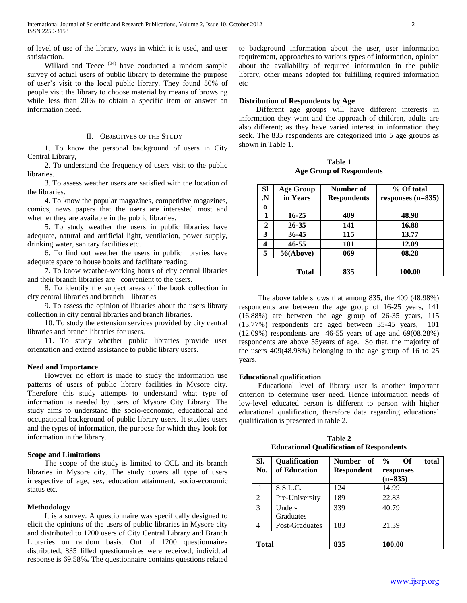of level of use of the library, ways in which it is used, and user satisfaction.

Willard and Teece<sup>(04)</sup> have conducted a random sample survey of actual users of public library to determine the purpose of user"s visit to the local public library. They found 50% of people visit the library to choose material by means of browsing while less than 20% to obtain a specific item or answer an information need.

## II. OBJECTIVES OF THE STUDY

 1. To know the personal background of users in City Central Library,

 2. To understand the frequency of users visit to the public libraries.

 3. To assess weather users are satisfied with the location of the libraries.

 4. To know the popular magazines, competitive magazines, comics, news papers that the users are interested most and whether they are available in the public libraries.

 5. To study weather the users in public libraries have adequate, natural and artificial light, ventilation, power supply, drinking water, sanitary facilities etc.

 6. To find out weather the users in public libraries have adequate space to house books and facilitate reading,

 7. To know weather-working hours of city central libraries and their branch libraries are convenient to the users.

 8. To identify the subject areas of the book collection in city central libraries and branch libraries

 9. To assess the opinion of libraries about the users library collection in city central libraries and branch libraries.

 10. To study the extension services provided by city central libraries and branch libraries for users.

 11. To study whether public libraries provide user orientation and extend assistance to public library users.

#### **Need and Importance**

 However no effort is made to study the information use patterns of users of public library facilities in Mysore city. Therefore this study attempts to understand what type of information is needed by users of Mysore City Library. The study aims to understand the socio-economic, educational and occupational background of public library users. It studies users and the types of information, the purpose for which they look for information in the library.

## **Scope and Limitations**

 The scope of the study is limited to CCL and its branch libraries in Mysore city. The study covers all type of users irrespective of age, sex, education attainment, socio-economic status etc.

#### **Methodology**

 It is a survey. A questionnaire was specifically designed to elicit the opinions of the users of public libraries in Mysore city and distributed to 1200 users of City Central Library and Branch Libraries on random basis. Out of 1200 questionnaires distributed, 835 filled questionnaires were received, individual response is 69.58%**.** The questionnaire contains questions related to background information about the user, user information requirement, approaches to various types of information, opinion about the availability of required information in the public library, other means adopted for fulfilling required information etc

# **Distribution of Respondents by Age**

 Different age groups will have different interests in information they want and the approach of children, adults are also different; as they have varied interest in information they seek. The 835 respondents are categorized into 5 age groups as shown in Table 1.

**Table 1 Age Group of Respondents**

| <b>Sl</b> | <b>Age Group</b> | Number of          | % Of total          |
|-----------|------------------|--------------------|---------------------|
| N.        | in Years         | <b>Respondents</b> | responses $(n=835)$ |
| $\bf{0}$  |                  |                    |                     |
| 1         | 16-25            | 409                | 48.98               |
| 2         | 26-35            | 141                | 16.88               |
| 3         | 36-45            | 115                | 13.77               |
| 4         | 46-55            | 101                | 12.09               |
| 5         | 56(Above)        | 069                | 08.28               |
|           | Total            | 835                | 100.00              |

 The above table shows that among 835, the 409 (48.98%) respondents are between the age group of 16-25 years, 141 (16.88%) are between the age group of 26-35 years, 115 (13.77%) respondents are aged between 35-45 years, 101 (12.09%) respondents are 46-55 years of age and 69(08.28%) respondents are above 55years of age. So that, the majority of the users 409(48.98%) belonging to the age group of 16 to 25 years.

#### **Educational qualification**

 Educational level of library user is another important criterion to determine user need. Hence information needs of low-level educated person is different to person with higher educational qualification, therefore data regarding educational qualification is presented in table 2.

**Table 2 Educational Qualification of Respondents**

| SI.<br>No. | Qualification<br>of Education | Number of<br><b>Respondent</b> | $\frac{0}{0}$<br>Of<br>total<br>responses<br>$(n=835)$ |
|------------|-------------------------------|--------------------------------|--------------------------------------------------------|
|            | S.S.L.C.                      | 124                            | 14.99                                                  |
| 2          | Pre-University                | 189                            | 22.83                                                  |
| 3          | Under-                        | 339                            | 40.79                                                  |
|            | Graduates                     |                                |                                                        |
| 4          | Post-Graduates                | 183                            | 21.39                                                  |
| Total      |                               | 835                            | 100.00                                                 |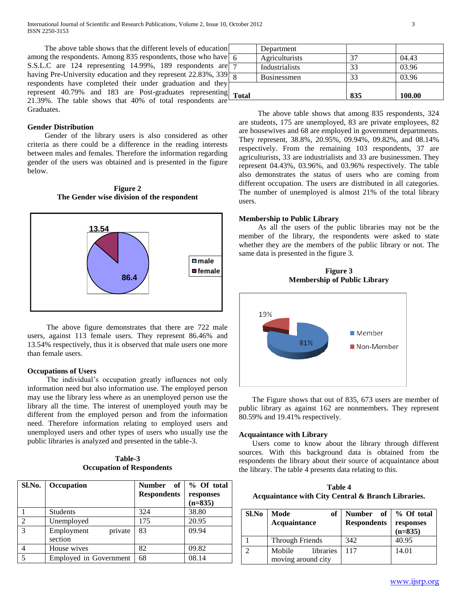The above table shows that the different levels of education among the respondents. Among 835 respondents, those who have S.S.L.C are 124 representing 14.99%, 189 respondents are having Pre-University education and they represent 22.83%, 339 respondents have completed their under graduation and they represent 40.79% and 183 are Post-graduates representing 21.39%. The table shows that 40% of total respondents are Graduates.

## **Gender Distribution**

 Gender of the library users is also considered as other criteria as there could be a difference in the reading interests between males and females. Therefore the information regarding gender of the users was obtained and is presented in the figure below.

**Figure 2 The Gender wise division of the respondent**



 The above figure demonstrates that there are 722 male users, against 113 female users. They represent 86.46% and 13.54% respectively, thus it is observed that male users one more than female users.

#### **Occupations of Users**

The individual's occupation greatly influences not only information need but also information use. The employed person may use the library less where as an unemployed person use the library all the time. The interest of unemployed youth may be different from the employed person and from the information need. Therefore information relating to employed users and unemployed users and other types of users who usually use the public libraries is analyzed and presented in the table-3.

**Table-3 Occupation of Respondents**

| Sl.No.        | Occupation                       | Number of<br><b>Respondents</b> | % Of total<br>responses<br>$(n=835)$ |
|---------------|----------------------------------|---------------------------------|--------------------------------------|
|               | <b>Students</b>                  | 324                             | 38.80                                |
| 2             | Unemployed                       | 175                             | 20.95                                |
| $\mathcal{R}$ | private<br>Employment<br>section | 83                              | 09.94                                |
|               | House wives                      | 82                              | 09.82                                |
|               | Employed in Government           | 68                              | 08.14                                |

| Total |                    | 835 | 100.00 |
|-------|--------------------|-----|--------|
|       |                    |     |        |
| 8     | <b>Businessmen</b> | 33  | 03.96  |
|       | Industrialists     | 33  | 03.96  |
| 6     | Agriculturists     | 37  | 04.43  |
|       | Department         |     |        |

 The above table shows that among 835 respondents, 324 are students, 175 are unemployed, 83 are private employees, 82 are housewives and 68 are employed in government departments. They represent, 38.8%, 20.95%, 09.94%, 09.82%, and 08.14% respectively. From the remaining 103 respondents, 37 are agriculturists, 33 are industrialists and 33 are businessmen. They represent 04.43%, 03.96%, and 03.96% respectively. The table also demonstrates the status of users who are coming from different occupation. The users are distributed in all categories. The number of unemployed is almost 21% of the total library users.

### **Membership to Public Library**

 As all the users of the public libraries may not be the member of the library, the respondents were asked to state whether they are the members of the public library or not. The same data is presented in the figure 3.

**Figure 3 Membership of Public Library**



 The Figure shows that out of 835, 673 users are member of public library as against 162 are nonmembers. They represent 80.59% and 19.41% respectively.

## **Acquaintance with Library**

 Users come to know about the library through different sources. With this background data is obtained from the respondents the library about their source of acquaintance about the library. The table 4 presents data relating to this.

**Table 4 Acquaintance with City Central & Branch Libraries.**

| Sl.No | of<br>Mode<br>Acquaintance                | Number of<br><b>Respondents</b> | % Of total<br>responses<br>$(n=835)$ |
|-------|-------------------------------------------|---------------------------------|--------------------------------------|
|       | Through Friends                           | 342                             | 40.95                                |
|       | libraries<br>Mobile<br>moving around city | 117                             | 14.01                                |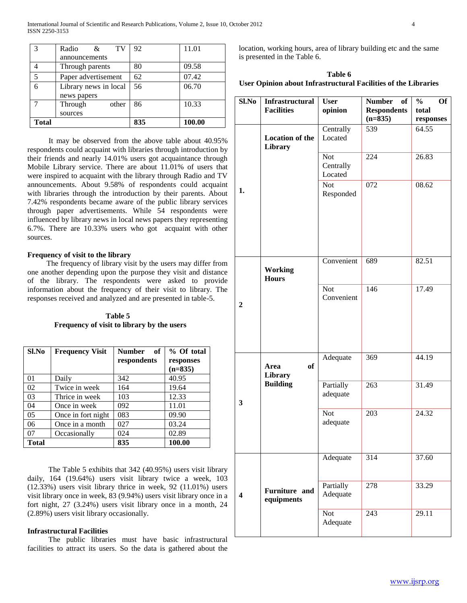| $\mathcal{R}$ | TV<br>Radio<br>$\&$   | 92  | 11.01  |
|---------------|-----------------------|-----|--------|
|               | announcements         |     |        |
|               | Through parents       | 80  | 09.58  |
| 5             | Paper advertisement   | 62  | 07.42  |
| 6             | Library news in local | 56  | 06.70  |
|               | news papers           |     |        |
|               | Through<br>other      | 86  | 10.33  |
|               | sources               |     |        |
| <b>Total</b>  |                       | 835 | 100.00 |

 It may be observed from the above table about 40.95% respondents could acquaint with libraries through introduction by their friends and nearly 14.01% users got acquaintance through Mobile Library service. There are about 11.01% of users that were inspired to acquaint with the library through Radio and TV announcements. About 9.58% of respondents could acquaint with libraries through the introduction by their parents. About 7.42% respondents became aware of the public library services through paper advertisements. While 54 respondents were influenced by library news in local news papers they representing 6.7%. There are 10.33% users who got acquaint with other sources.

## **Frequency of visit to the library**

 The frequency of library visit by the users may differ from one another depending upon the purpose they visit and distance of the library. The respondents were asked to provide information about the frequency of their visit to library. The responses received and analyzed and are presented in table-5.

 **Table 5 Frequency of visit to library by the users**

| Sl.No          | <b>Frequency Visit</b> | of<br><b>Number</b><br>respondents | % Of total<br>responses<br>$(n=835)$ |
|----------------|------------------------|------------------------------------|--------------------------------------|
| 01             | Daily                  | 342                                | 40.95                                |
| 02             | Twice in week          | 164                                | 19.64                                |
| 03             | Thrice in week         | 103                                | 12.33                                |
| 04             | Once in week           | 092                                | 11.01                                |
| 0 <sub>5</sub> | Once in fort night     | 083                                | 09.90                                |
| 06             | Once in a month        | 027                                | 03.24                                |
| 07             | Occasionally           | 024                                | 02.89                                |
| <b>Total</b>   |                        | 835                                | 100.00                               |

 The Table 5 exhibits that 342 (40.95%) users visit library daily, 164 (19.64%) users visit library twice a week, 103 (12.33%) users visit library thrice in week, 92 (11.01%) users visit library once in week, 83 (9.94%) users visit library once in a fort night, 27 (3.24%) users visit library once in a month, 24 (2.89%) users visit library occasionally.

## **Infrastructural Facilities**

 The public libraries must have basic infrastructural facilities to attract its users. So the data is gathered about the

location, working hours, area of library building etc and the same is presented in the Table 6.

**Table 6 User Opinion about Infrastructural Facilities of the Libraries**

| Sl.No          | Infrastructural                   | <b>User</b>                        | <b>Number</b><br>of | <b>Of</b><br>$\frac{0}{0}$ |
|----------------|-----------------------------------|------------------------------------|---------------------|----------------------------|
|                | <b>Facilities</b>                 | opinion                            | <b>Respondents</b>  | total                      |
|                |                                   |                                    | $(n=835)$           | responses                  |
|                | <b>Location of the</b><br>Library | Centrally<br>Located               | 539                 | 64.55                      |
|                |                                   | <b>Not</b><br>Centrally<br>Located | 224                 | 26.83                      |
| 1.             |                                   | <b>Not</b><br>Responded            | 072                 | 08.62                      |
|                | <b>Working</b><br><b>Hours</b>    | Convenient                         | 689                 | 82.51                      |
| $\overline{2}$ |                                   | <b>Not</b><br>Convenient           | 146                 | 17.49                      |
|                | of<br>Area<br>Library             | Adequate                           | 369                 | 44.19                      |
| 3              | <b>Building</b>                   | Partially<br>adequate              | 263                 | 31.49                      |
|                |                                   | <b>Not</b><br>adequate             | 203                 | 24.32                      |
|                |                                   | Adequate                           | 314                 | 37.60                      |
| 4              | Furniture and<br>equipments       | Partially<br>Adequate              | 278                 | 33.29                      |
|                |                                   | <b>Not</b><br>Adequate             | 243                 | 29.11                      |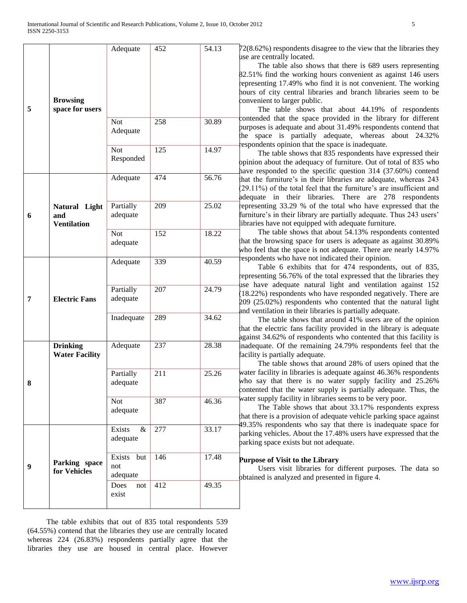| 5 | <b>Browsing</b><br>space for users         | Adequate                         | 452 | 54.13<br>72<br>1S<br>82<br>e <sub>l</sub><br>ho<br>¢о     |
|---|--------------------------------------------|----------------------------------|-----|-----------------------------------------------------------|
|   |                                            | <b>Not</b><br>Adequate           | 258 | ¢о<br>30.89<br>þu<br>:h                                   |
|   |                                            | Not<br>Responded                 | 125 | e:<br>14.97<br>pp<br>ha                                   |
|   |                                            | Adequate                         | 474 | 56.76<br>.ha<br>$\mathbf{2}$<br>ad                        |
| 6 | Natural Light<br>and<br><b>Ventilation</b> | Partially<br>adequate            | 209 | 25.02<br>rej<br>fu<br>lib                                 |
|   |                                            | <b>Not</b><br>adequate           | 152 | 18.22<br>:h<br>wł                                         |
|   |                                            | Adequate                         | 339 | e:<br>40.59<br>e <sub>l</sub>                             |
| 7 | <b>Electric Fans</b>                       | Partially<br>adequate            | 207 | 1S<br>24.79<br>$\left( 1\right)$<br>$\overline{20}$<br>an |
|   |                                            | Inadequate                       | 289 | 34.62<br>tha<br>ag                                        |
|   | <b>Drinking</b><br><b>Water Facility</b>   | Adequate                         | 237 | 28.38<br>n<br>fа                                          |
| 8 |                                            | Partially<br>adequate            | 211 | 25.26<br>Wέ<br>wł<br>¢о                                   |
|   |                                            | <b>Not</b><br>adequate           | 387 | Wέ<br>46.36<br>th:                                        |
|   |                                            | Exists<br>$\&$<br>adequate       | 277 | 49<br>33.17<br>рa<br>bа                                   |
| 9 | Parking space<br>for Vehicles              | Exists<br>but<br>not<br>adequate | 146 | 17.48<br>Pı<br>ob                                         |
|   |                                            | Does<br>not<br>exist             | 412 | 49.35                                                     |

 The table exhibits that out of 835 total respondents 539 (64.55%) contend that the libraries they use are centrally located whereas 224 (26.83%) respondents partially agree that the libraries they use are housed in central place. However

 $2(8.62%)$  respondents disagree to the view that the libraries they e are centrally located.

 The table also shows that there is 689 users representing 82.51% find the working hours convenient as against 146 users presenting 17.49% who find it is not convenient. The working hours of city central libraries and branch libraries seem to be nvenient to larger public.

 The table shows that about 44.19% of respondents ntended that the space provided in the library for different purposes is adequate and about 31.49% respondents contend that e space is partially adequate, whereas about 24.32% spondents opinion that the space is inadequate.

 The table shows that 835 respondents have expressed their binion about the adequacy of furniture. Out of total of 835 who we responded to the specific question  $314$  (37.60%) contend at the furniture's in their libraries are adequate, whereas 243 (29.11%) of the total feel that the furniture"s are insufficient and lequate in their libraries. There are 278 respondents representing 33.29 % of the total who have expressed that the rniture's in their library are partially adequate. Thus 243 users' Interstandance not equipped with adequate furniture.

 The table shows that about 54.13% respondents contented at the browsing space for users is adequate as against 30.89% ho feel that the space is not adequate. There are nearly 14.97% spondents who have not indicated their opinion.

 Table 6 exhibits that for 474 respondents, out of 835, presenting 56.76% of the total expressed that the libraries they e have adequate natural light and ventilation against 152 8.22%) respondents who have responded negatively. There are 209 (25.02%) respondents who contented that the natural light d ventilation in their libraries is partially adequate.

 The table shows that around 41% users are of the opinion at the electric fans facility provided in the library is adequate ainst 34.62% of respondents who contented that this facility is adequate. Of the remaining 24.79% respondents feel that the cility is partially adequate.

 The table shows that around 28% of users opined that the ater facility in libraries is adequate against 46.36% respondents ho say that there is no water supply facility and 25.26% contented that the water supply is partially adequate. Thus, the ater supply facility in libraries seems to be very poor.

 The Table shows that about 33.17% respondents express at there is a provision of adequate vehicle parking space against .35% respondents who say that there is inadequate space for rking vehicles. About the 17.48% users have expressed that the rking space exists but not adequate.

## **Purpose of Visit to the Library**

 Users visit libraries for different purposes. The data so obtained is analyzed and presented in figure 4.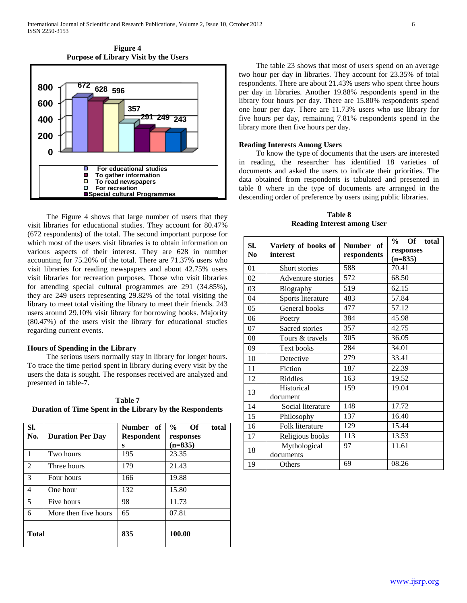



 The Figure 4 shows that large number of users that they visit libraries for educational studies. They account for 80.47% (672 respondents) of the total. The second important purpose for which most of the users visit libraries is to obtain information on various aspects of their interest. They are 628 in number accounting for 75.20% of the total. There are 71.37% users who visit libraries for reading newspapers and about 42.75% users visit libraries for recreation purposes. Those who visit libraries for attending special cultural programmes are 291 (34.85%), they are 249 users representing 29.82% of the total visiting the library to meet total visiting the library to meet their friends. 243 users around 29.10% visit library for borrowing books. Majority (80.47%) of the users visit the library for educational studies regarding current events.

#### **Hours of Spending in the Library**

 The serious users normally stay in library for longer hours. To trace the time period spent in library during every visit by the users the data is sought. The responses received are analyzed and presented in table-7.

| Table 7                                                  |
|----------------------------------------------------------|
| Duration of Time Spent in the Library by the Respondents |

| SI.<br>No.   | <b>Duration Per Day</b> | Number of<br><b>Respondent</b><br>S | $\frac{0}{0}$<br>Of<br>total<br>responses<br>$(n=835)$ |
|--------------|-------------------------|-------------------------------------|--------------------------------------------------------|
| $\mathbf{1}$ | Two hours               | 195                                 | 23.35                                                  |
| 2            | Three hours             | 179                                 | 21.43                                                  |
| 3            | Four hours              | 166                                 | 19.88                                                  |
| 4            | One hour                | 132                                 | 15.80                                                  |
| 5            | Five hours              | 98                                  | 11.73                                                  |
| 6            | More then five hours    | 65                                  | 07.81                                                  |
| <b>Total</b> |                         | 835                                 | 100.00                                                 |

 The table 23 shows that most of users spend on an average two hour per day in libraries. They account for 23.35% of total respondents. There are about 21.43% users who spent three hours per day in libraries. Another 19.88% respondents spend in the library four hours per day. There are 15.80% respondents spend one hour per day. There are 11.73% users who use library for five hours per day, remaining 7.81% respondents spend in the library more then five hours per day.

#### **Reading Interests Among Users**

 To know the type of documents that the users are interested in reading, the researcher has identified 18 varieties of documents and asked the users to indicate their priorities. The data obtained from respondents is tabulated and presented in table 8 where in the type of documents are arranged in the descending order of preference by users using public libraries.

**Table 8 Reading Interest among User**

| SI.<br>N <sub>0</sub> | Variety of books of<br>interest | Number of<br>respondents | total<br>$\frac{6}{9}$<br>Of<br>responses<br>$(n=835)$ |
|-----------------------|---------------------------------|--------------------------|--------------------------------------------------------|
| 01                    | Short stories                   | 588                      | 70.41                                                  |
| 02                    | Adventure stories               | 572                      | 68.50                                                  |
| 03                    | Biography                       | 519                      | 62.15                                                  |
| 04                    | Sports literature               | 483                      | 57.84                                                  |
| 05                    | General books                   | 477                      | 57.12                                                  |
| 06                    | Poetry                          | 384                      | 45.98                                                  |
| 07                    | Sacred stories                  | 357                      | 42.75                                                  |
| 08                    | Tours & travels                 | 305                      | 36.05                                                  |
| 09                    | <b>Text books</b>               | 284                      | 34.01                                                  |
| 10                    | Detective                       | 279                      | 33.41                                                  |
| 11                    | Fiction                         | 187                      | 22.39                                                  |
| 12                    | Riddles                         | 163                      | 19.52                                                  |
| 13                    | Historical<br>document          | 159                      | 19.04                                                  |
| 14                    | Social literature               | 148                      | 17.72                                                  |
| 15                    | Philosophy                      | 137                      | 16.40                                                  |
| 16                    | Folk literature                 | 129                      | 15.44                                                  |
| 17                    | Religious books                 | 113                      | 13.53                                                  |
| 18                    | Mythological<br>documents       | 97                       | 11.61                                                  |
| 19                    | Others                          | 69                       | 08.26                                                  |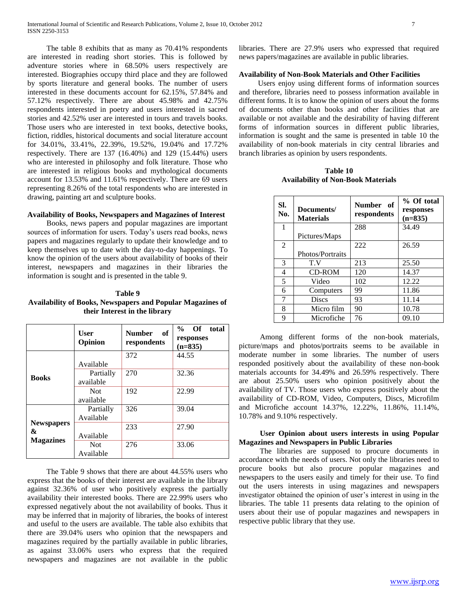The table 8 exhibits that as many as 70.41% respondents are interested in reading short stories. This is followed by adventure stories where in 68.50% users respectively are interested. Biographies occupy third place and they are followed by sports literature and general books. The number of users interested in these documents account for 62.15%, 57.84% and 57.12% respectively. There are about 45.98% and 42.75% respondents interested in poetry and users interested in sacred stories and 42.52% user are interested in tours and travels books. Those users who are interested in text books, detective books, fiction, riddles, historical documents and social literature account for 34.01%, 33.41%, 22.39%, 19.52%, 19.04% and 17.72% respectively. There are 137 (16.40%) and 129 (15.44%) users who are interested in philosophy and folk literature. Those who are interested in religious books and mythological documents account for 13.53% and 11.61% respectively. There are 69 users representing 8.26% of the total respondents who are interested in drawing, painting art and sculpture books.

## **Availability of Books, Newspapers and Magazines of Interest**

 Books, news papers and popular magazines are important sources of information for users. Today's users read books, news papers and magazines regularly to update their knowledge and to keep themselves up to date with the day-to-day happenings. To know the opinion of the users about availability of books of their interest, newspapers and magazines in their libraries the information is sought and is presented in the table 9.

## **Table 9 Availability of Books, Newspapers and Popular Magazines of their Interest in the library**

|                        | User<br>Opinion         | <b>Number</b><br>of<br>respondents | Of  <br>$\frac{0}{0}$<br>total<br>responses<br>$(n=835)$ |
|------------------------|-------------------------|------------------------------------|----------------------------------------------------------|
|                        | Available               | 372                                | 44.55                                                    |
| <b>Books</b>           | Partially<br>available  | 270                                | 32.36                                                    |
|                        | <b>Not</b><br>available | 192                                | 22.99                                                    |
|                        | Partially<br>Available  | 326                                | 39.04                                                    |
| <b>Newspapers</b><br>& | Available               | 233                                | 27.90                                                    |
| <b>Magazines</b>       | <b>Not</b><br>Available | 276                                | 33.06                                                    |

 The Table 9 shows that there are about 44.55% users who express that the books of their interest are available in the library against 32.36% of user who positively express the partially availability their interested books. There are 22.99% users who expressed negatively about the not availability of books. Thus it may be inferred that in majority of libraries, the books of interest and useful to the users are available. The table also exhibits that there are 39.04% users who opinion that the newspapers and magazines required by the partially available in public libraries, as against 33.06% users who express that the required newspapers and magazines are not available in the public

libraries. There are 27.9% users who expressed that required news papers/magazines are available in public libraries.

## **Availability of Non-Book Materials and Other Facilities**

 Users enjoy using different forms of information sources and therefore, libraries need to possess information available in different forms. It is to know the opinion of users about the forms of documents other than books and other facilities that are available or not available and the desirability of having different forms of information sources in different public libraries, information is sought and the same is presented in table 10 the availability of non-book materials in city central libraries and branch libraries as opinion by users respondents.

**Table 10 Availability of Non-Book Materials**

| SI.<br>No.   | Documents/<br><b>Materials</b> | Number of<br>respondents | % Of total<br>responses<br>$(n=835)$ |
|--------------|--------------------------------|--------------------------|--------------------------------------|
| $\mathbf{1}$ |                                | 288                      | 34.49                                |
|              | Pictures/Maps                  |                          |                                      |
| 2            |                                | 222                      | 26.59                                |
|              | Photos/Portraits               |                          |                                      |
| 3            | T.V                            | 213                      | 25.50                                |
| 4            | CD-ROM                         | 120                      | 14.37                                |
| 5            | Video                          | 102                      | 12.22                                |
| 6            | Computers                      | 99                       | 11.86                                |
| 7            | <b>Discs</b>                   | 93                       | 11.14                                |
| 8            | Micro film                     | 90                       | 10.78                                |
| 9            | Microfiche                     | 76                       | 09.10                                |

 Among different forms of the non-book materials, picture/maps and photos/portraits seems to be available in moderate number in some libraries. The number of users responded positively about the availability of these non-book materials accounts for 34.49% and 26.59% respectively. There are about 25.50% users who opinion positively about the availability of TV. Those users who express positively about the availability of CD-ROM, Video, Computers, Discs, Microfilm and Microfiche account 14.37%, 12.22%, 11.86%, 11.14%, 10.78% and 9.10% respectively.

## **User Opinion about users interests in using Popular Magazines and Newspapers in Public Libraries**

 The libraries are supposed to procure documents in accordance with the needs of users. Not only the libraries need to procure books but also procure popular magazines and newspapers to the users easily and timely for their use. To find out the users interests in using magazines and newspapers investigator obtained the opinion of user's interest in using in the libraries. The table 11 presents data relating to the opinion of users about their use of popular magazines and newspapers in respective public library that they use.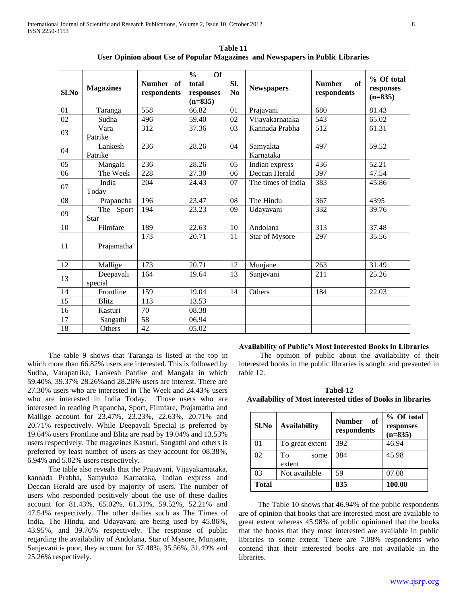| Sl.No | <b>Magazines</b>         | Number of<br>respondents | <b>Of</b><br>$\frac{0}{0}$<br>total<br>responses<br>$(n=835)$ | SI.<br>N <sub>0</sub> | <b>Newspapers</b>     | of<br><b>Number</b><br>respondents | % Of total<br>responses<br>$(n=835)$ |
|-------|--------------------------|--------------------------|---------------------------------------------------------------|-----------------------|-----------------------|------------------------------------|--------------------------------------|
| 01    | Taranga                  | 558                      | 66.82                                                         | 01                    | Prajavani             | 680                                | 81.43                                |
| 02    | Sudha                    | 496                      | 59.40                                                         | 02                    | Vijayakarnataka       | 543                                | 65.02                                |
| 03    | Vara<br>Patrike          | 312                      | 37.36                                                         | 03                    | Kannada Prabha        | 512                                | 61.31                                |
| 04    | Lankesh<br>Patrike       | 236                      | 28.26                                                         | 04                    | Samyakta<br>Karnataka | 497                                | 59.52                                |
| 05    | Mangala                  | 236                      | 28.26                                                         | 05                    | Indian express        | 436                                | 52.21                                |
| 06    | The Week                 | 228                      | 27.30                                                         | 06                    | Deccan Herald         | 397                                | 47.54                                |
| 07    | India<br>Today           | 204                      | 24.43                                                         | 07                    | The times of India    | 383                                | 45.86                                |
| 08    | Prapancha                | 196                      | 23.47                                                         | 08                    | The Hindu             | 367                                | 4395                                 |
| 09    | The Sport<br><b>Star</b> | 194                      | 23.23                                                         | 09                    | Udayavani             | 332                                | 39.76                                |
| 10    | Filmfare                 | 189                      | 22.63                                                         | 10                    | Andolana              | 313                                | 37.48                                |
| 11    | Prajamatha               | 173                      | 20.71                                                         | 11                    | Star of Mysore        | 297                                | 35.56                                |
| 12    | Mallige                  | 173                      | 20.71                                                         | 12                    | Munjane               | 263                                | 31.49                                |
| 13    | Deepavali<br>special     | 164                      | 19.64                                                         | 13                    | Sanjevani             | 211                                | 25.26                                |
| 14    | Frontline                | 159                      | 19.04                                                         | 14                    | Others                | 184                                | 22.03                                |
| 15    | <b>Blitz</b>             | 113                      | 13.53                                                         |                       |                       |                                    |                                      |
| 16    | Kasturi                  | 70                       | 08.38                                                         |                       |                       |                                    |                                      |
| 17    | Sangathi                 | 58                       | 06.94                                                         |                       |                       |                                    |                                      |
| 18    | Others                   | 42                       | 05.02                                                         |                       |                       |                                    |                                      |

**Table 11 User Opinion about Use of Popular Magazines and Newspapers in Public Libraries**

 The table 9 shows that Taranga is listed at the top in which more than 66.82% users are interested. This is followed by Sudha, Varapatrike, Lankesh Patrike and Mangala in which 59.40%, 39.37% 28.26%and 28.26% users are interest. There are 27.30% users who are interested in The Week and 24.43% users who are interested in India Today. Those users who are interested in reading Prapancha, Sport, Filmfare, Prajamatha and Mallige account for 23.47%, 23.23%, 22.63%, 20.71% and 20.71% respectively. While Deepavali Special is preferred by 19.64% users Frontline and Blitz are read by 19.04% and 13.53% users respectively. The magazines Kasturi, Sangathi and others is preferred by least number of users as they account for 08.38%, 6.94% and 5.02% users respectively.

 The table also reveals that the Prajavani, Vijayakarnataka, kannada Prabha, Samyukta Karnataka, Indian express and Deccan Herald are used by majority of users. The number of users who responded positively about the use of these dailies account for 81.43%, 65.02%, 61.31%, 59.52%, 52.21% and 47.54% respectively. The other dailies such as The Times of India, The Hindu, and Udayavani are being used by 45.86%, 43.95%, and 39.76% respectively. The response of public regarding the availability of Andolana, Star of Mysore, Munjane, Sanjevani is poor, they account for 37.48%, 35.56%, 31.49% and 25.26% respectively.

#### **Availability of Public's Most Interested Books in Libraries**

 The opinion of public about the availability of their interested books in the public libraries is sought and presented in table 12.

**Tabel-12 Availability of Most interested titles of Books in libraries**

| Sl.No        | <b>Availability</b>  | <b>Number</b><br>of<br>respondents | % Of total<br>responses<br>$(n=835)$ |
|--------------|----------------------|------------------------------------|--------------------------------------|
| 01           | To great extent      | 392                                | 46.94                                |
| 02           | To<br>some<br>extent | 384                                | 45.98                                |
| 03           | Not available        | 59                                 | 07.08                                |
| <b>Total</b> |                      | 835                                | 100.00                               |

 The Table 10 shows that 46.94% of the public respondents are of opinion that books that are interested most are available to great extent whereas 45.98% of public opinioned that the books that the books that they most interested are available in public libraries to some extent. There are 7.08% respondents who contend that their interested books are not available in the libraries.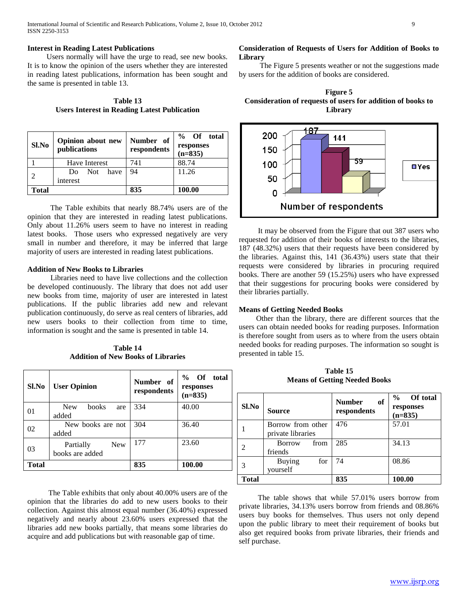### **Interest in Reading Latest Publications**

 Users normally will have the urge to read, see new books. It is to know the opinion of the users whether they are interested in reading latest publications, information has been sought and the same is presented in table 13.

**Table 13 Users Interest in Reading Latest Publication**

| Sl.No | Opinion about new<br>publications | Number of<br>respondents | % Of total<br>responses<br>$(n=835)$ |
|-------|-----------------------------------|--------------------------|--------------------------------------|
|       | Have Interest                     | 741                      | 88.74                                |
|       | Not<br>have<br>Do.<br>interest    | 94                       | 11.26                                |
| Total |                                   | 835                      | 100.00                               |

 The Table exhibits that nearly 88.74% users are of the opinion that they are interested in reading latest publications. Only about 11.26% users seem to have no interest in reading latest books. Those users who expressed negatively are very small in number and therefore, it may be inferred that large majority of users are interested in reading latest publications.

#### **Addition of New Books to Libraries**

 Libraries need to have live collections and the collection be developed continuously. The library that does not add user new books from time, majority of user are interested in latest publications. If the public libraries add new and relevant publication continuously, do serve as real centers of libraries, add new users books to their collection from time to time, information is sought and the same is presented in table 14.

**Table 14 Addition of New Books of Libraries**

| Sl.No        | <b>User Opinion</b>                        | Number of<br>respondents | % Of total<br>responses<br>$(n=835)$ |
|--------------|--------------------------------------------|--------------------------|--------------------------------------|
| 01           | <b>books</b><br><b>New</b><br>are<br>added | 334                      | 40.00                                |
| 02           | New books are not<br>added                 | 304                      | 36.40                                |
| 03           | <b>New</b><br>Partially<br>books are added | 177                      | 23.60                                |
| <b>Total</b> |                                            | 835                      | 100.00                               |

 The Table exhibits that only about 40.00% users are of the opinion that the libraries do add to new users books to their collection. Against this almost equal number (36.40%) expressed negatively and nearly about 23.60% users expressed that the libraries add new books partially, that means some libraries do acquire and add publications but with reasonable gap of time.

## **Consideration of Requests of Users for Addition of Books to Library**

 The Figure 5 presents weather or not the suggestions made by users for the addition of books are considered.





 It may be observed from the Figure that out 387 users who requested for addition of their books of interests to the libraries, 187 (48.32%) users that their requests have been considered by the libraries. Against this, 141 (36.43%) users state that their requests were considered by libraries in procuring required books. There are another 59 (15.25%) users who have expressed that their suggestions for procuring books were considered by their libraries partially.

# **Means of Getting Needed Books**

 Other than the library, there are different sources that the users can obtain needed books for reading purposes. Information is therefore sought from users as to where from the users obtain needed books for reading purposes. The information so sought is presented in table 15.

**Table 15 Means of Getting Needed Books**

| Sl.No        | Source                                 | <b>Number</b><br>of<br>respondents | <b>Of total</b><br>$\frac{6}{9}$<br>responses<br>$(n=835)$ |
|--------------|----------------------------------------|------------------------------------|------------------------------------------------------------|
|              | Borrow from other<br>private libraries | 476                                | 57.01                                                      |
| 2            | from<br><b>Borrow</b><br>friends       | 285                                | 34.13                                                      |
| 3            | <b>Buying</b><br>for<br>yourself       | 74                                 | 08.86                                                      |
| <b>Total</b> |                                        | 835                                | 100.00                                                     |

 The table shows that while 57.01% users borrow from private libraries, 34.13% users borrow from friends and 08.86% users buy books for themselves. Thus users not only depend upon the public library to meet their requirement of books but also get required books from private libraries, their friends and self purchase.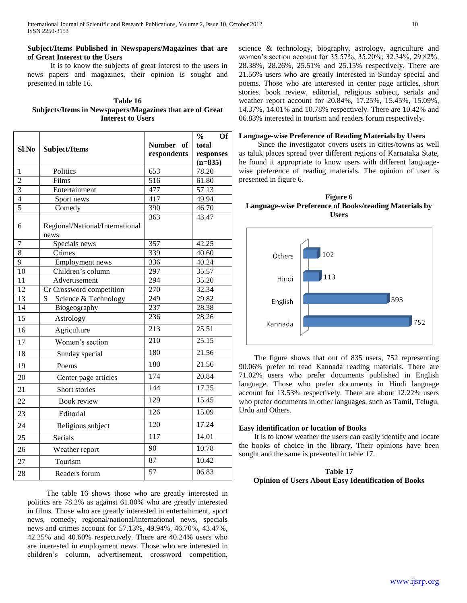# **Subject/Items Published in Newspapers/Magazines that are of Great Interest to the Users**

 It is to know the subjects of great interest to the users in news papers and magazines, their opinion is sought and presented in table 16.

| Table 16                                                 |
|----------------------------------------------------------|
| Subjects/Items in Newspapers/Magazines that are of Great |
| <b>Interest to Users</b>                                 |

|                |                                         |             | $\frac{0}{0}$<br>Of |
|----------------|-----------------------------------------|-------------|---------------------|
| Sl.No          | Subject/Items                           | Number of   | total               |
|                |                                         | respondents | responses           |
|                |                                         |             | $(n=835)$           |
| 1              | Politics                                | 653         | 78.20               |
| $\overline{c}$ | Films                                   | 516         | 61.80               |
| $\overline{3}$ | Entertainment                           | 477         | 57.13               |
| $\overline{4}$ | Sport news                              | 417         | 49.94               |
| $\overline{5}$ | Comedy                                  | 390         | 46.70               |
| 6              | Regional/National/International<br>news | 363         | 43.47               |
| $\overline{7}$ | Specials news                           | 357         | 42.25               |
| 8              | Crimes                                  | 339         | 40.60               |
| $\overline{9}$ | Employment news                         | 336         | 40.24               |
| 10             | Children's column                       | 297         | 35.57               |
| 11             | Advertisement                           | 294         | 35.20               |
| 12             | Cr Crossword competition                | 270         | 32.34               |
| 13             | Science & Technology<br>S               | 249         | 29.82               |
| 14             | Biogeography                            | 237         | 28.38               |
| 15             | Astrology                               | 236         | 28.26               |
| 16             | Agriculture                             | 213         | 25.51               |
| 17             | Women's section                         | 210         | 25.15               |
| 18             | Sunday special                          | 180         | 21.56               |
| 19             | Poems                                   | 180         | 21.56               |
| 20             | Center page articles                    | 174         | 20.84               |
| 21             | Short stories                           | 144         | 17.25               |
| 22             | <b>Book review</b>                      | 129         | 15.45               |
| 23             | Editorial                               | 126         | 15.09               |
| 24             | Religious subject                       | 120         | 17.24               |
| 25             | Serials                                 | 117         | 14.01               |
| 26             | Weather report                          | 90          | 10.78               |
| 27             | Tourism                                 | 87          | 10.42               |
| 28             | Readers forum                           | 57          | 06.83               |

 The table 16 shows those who are greatly interested in politics are 78.2% as against 61.80% who are greatly interested in films. Those who are greatly interested in entertainment, sport news, comedy, regional/national/international news, specials news and crimes account for 57.13%, 49.94%, 46.70%, 43.47%, 42.25% and 40.60% respectively. There are 40.24% users who are interested in employment news. Those who are interested in children"s column, advertisement, crossword competition,

science & technology, biography, astrology, agriculture and women"s section account for 35.57%, 35.20%, 32.34%, 29.82%, 28.38%, 28.26%, 25.51% and 25.15% respectively. There are 21.56% users who are greatly interested in Sunday special and poems. Those who are interested in center page articles, short stories, book review, editorial, religious subject, serials and weather report account for 20.84%, 17.25%, 15.45%, 15.09%, 14.37%, 14.01% and 10.78% respectively. There are 10.42% and 06.83% interested in tourism and readers forum respectively.

#### **Language-wise Preference of Reading Materials by Users**

 Since the investigator covers users in cities/towns as well as taluk places spread over different regions of Karnataka State, he found it appropriate to know users with different languagewise preference of reading materials. The opinion of user is presented in figure 6.





 The figure shows that out of 835 users, 752 representing 90.06% prefer to read Kannada reading materials. There are 71.02% users who prefer documents published in English language. Those who prefer documents in Hindi language account for 13.53% respectively. There are about 12.22% users who prefer documents in other languages, such as Tamil, Telugu, Urdu and Others.

#### **Easy identification or location of Books**

 It is to know weather the users can easily identify and locate the books of choice in the library. Their opinions have been sought and the same is presented in table 17.

## **Table 17 Opinion of Users About Easy Identification of Books**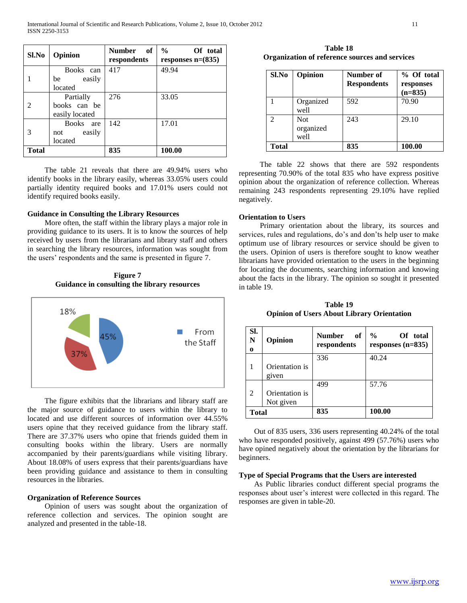| Sl.No                       | Opinion                               | <b>Number</b><br>of<br>respondents | $\%$<br>Of total<br>responses $n=(835)$ |
|-----------------------------|---------------------------------------|------------------------------------|-----------------------------------------|
|                             | Books can<br>easily<br>be             | 417                                | 49.94                                   |
| $\mathcal{D}_{\mathcal{A}}$ | located<br>Partially<br>books can be  | 276                                | 33.05                                   |
|                             | easily located<br><b>Books</b><br>are | 142                                | 17.01                                   |
| 3                           | easily<br>not<br>located              |                                    |                                         |
| <b>Total</b>                |                                       | 835                                | 100.00                                  |

 The table 21 reveals that there are 49.94% users who identify books in the library easily, whereas 33.05% users could partially identity required books and 17.01% users could not identify required books easily.

## **Guidance in Consulting the Library Resources**

 More often, the staff within the library plays a major role in providing guidance to its users. It is to know the sources of help received by users from the librarians and library staff and others in searching the library resources, information was sought from the users" respondents and the same is presented in figure 7.

**Figure 7 Guidance in consulting the library resources**



 The figure exhibits that the librarians and library staff are the major source of guidance to users within the library to located and use different sources of information over 44.55% users opine that they received guidance from the library staff. There are 37.37% users who opine that friends guided them in consulting books within the library. Users are normally accompanied by their parents/guardians while visiting library. About 18.08% of users express that their parents/guardians have been providing guidance and assistance to them in consulting resources in the libraries.

## **Organization of Reference Sources**

 Opinion of users was sought about the organization of reference collection and services. The opinion sought are analyzed and presented in the table-18.

**Table 18 Organization of reference sources and services**

| Sl.No        | Opinion                         | Number of<br><b>Respondents</b> | % Of total<br>responses<br>$(n=835)$ |
|--------------|---------------------------------|---------------------------------|--------------------------------------|
|              | Organized<br>well               | 592                             | 70.90                                |
|              | <b>Not</b><br>organized<br>well | 243                             | 29.10                                |
| <b>Total</b> |                                 | 835                             | 100.00                               |

 The table 22 shows that there are 592 respondents representing 70.90% of the total 835 who have express positive opinion about the organization of reference collection. Whereas remaining 243 respondents representing 29.10% have replied negatively.

# **Orientation to Users**

 Primary orientation about the library, its sources and services, rules and regulations, do's and don'ts help user to make optimum use of library resources or service should be given to the users. Opinion of users is therefore sought to know weather librarians have provided orientation to the users in the beginning for locating the documents, searching information and knowing about the facts in the library. The opinion so sought it presented in table 19.

**Table 19 Opinion of Users About Library Orientation**

| SI.<br>N<br>0  | Opinion                     | <b>Number</b><br>- of<br>respondents | $\frac{0}{0}$<br>Of total<br>responses $(n=835)$ |
|----------------|-----------------------------|--------------------------------------|--------------------------------------------------|
|                | Orientation is<br>given     | 336                                  | 40.24                                            |
| $\mathfrak{D}$ | Orientation is<br>Not given | 499                                  | 57.76                                            |
| Total          |                             | 835                                  | 100.00                                           |

 Out of 835 users, 336 users representing 40.24% of the total who have responded positively, against 499 (57.76%) users who have opined negatively about the orientation by the librarians for beginners.

# **Type of Special Programs that the Users are interested**

 As Public libraries conduct different special programs the responses about user"s interest were collected in this regard. The responses are given in table-20.